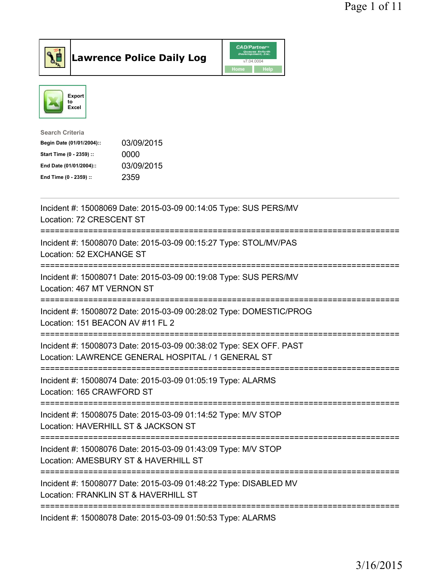

**Lawrence Police Daily Log** CAD/Partner



| <b>Search Criteria</b>    |            |
|---------------------------|------------|
| Begin Date (01/01/2004):: | 03/09/2015 |
| Start Time (0 - 2359) ::  | 0000       |
| End Date (01/01/2004)::   | 03/09/2015 |
| End Time (0 - 2359) ::    | 2359       |
|                           |            |

| Incident #: 15008069 Date: 2015-03-09 00:14:05 Type: SUS PERS/MV<br>Location: 72 CRESCENT ST                                          |
|---------------------------------------------------------------------------------------------------------------------------------------|
| Incident #: 15008070 Date: 2015-03-09 00:15:27 Type: STOL/MV/PAS<br>Location: 52 EXCHANGE ST                                          |
| Incident #: 15008071 Date: 2015-03-09 00:19:08 Type: SUS PERS/MV<br>Location: 467 MT VERNON ST                                        |
| Incident #: 15008072 Date: 2015-03-09 00:28:02 Type: DOMESTIC/PROG<br>Location: 151 BEACON AV #11 FL 2                                |
| Incident #: 15008073 Date: 2015-03-09 00:38:02 Type: SEX OFF. PAST<br>Location: LAWRENCE GENERAL HOSPITAL / 1 GENERAL ST              |
| Incident #: 15008074 Date: 2015-03-09 01:05:19 Type: ALARMS<br>Location: 165 CRAWFORD ST                                              |
| ----------------------<br>Incident #: 15008075 Date: 2015-03-09 01:14:52 Type: M/V STOP<br>Location: HAVERHILL ST & JACKSON ST        |
| -----------------------<br>Incident #: 15008076 Date: 2015-03-09 01:43:09 Type: M/V STOP<br>Location: AMESBURY ST & HAVERHILL ST      |
| -------------------------<br>Incident #: 15008077 Date: 2015-03-09 01:48:22 Type: DISABLED MV<br>Location: FRANKLIN ST & HAVERHILL ST |
| Incident #: 15008078 Date: 2015-03-09 01:50:53 Type: ALARMS                                                                           |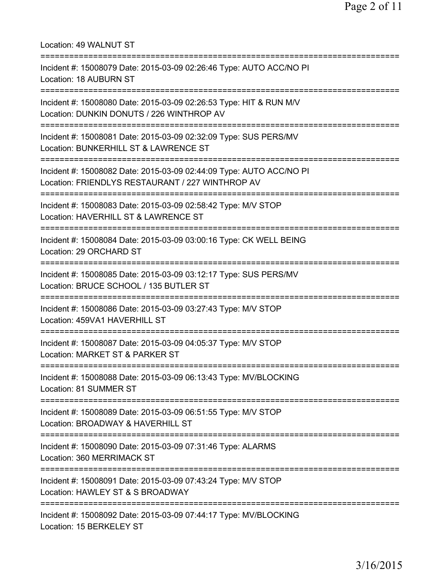| Location: 49 WALNUT ST<br>:===============                                                                                                          |
|-----------------------------------------------------------------------------------------------------------------------------------------------------|
| Incident #: 15008079 Date: 2015-03-09 02:26:46 Type: AUTO ACC/NO PI<br><b>Location: 18 AUBURN ST</b><br>--------------------                        |
| Incident #: 15008080 Date: 2015-03-09 02:26:53 Type: HIT & RUN M/V<br>Location: DUNKIN DONUTS / 226 WINTHROP AV                                     |
| :==================================<br>Incident #: 15008081 Date: 2015-03-09 02:32:09 Type: SUS PERS/MV<br>Location: BUNKERHILL ST & LAWRENCE ST    |
| Incident #: 15008082 Date: 2015-03-09 02:44:09 Type: AUTO ACC/NO PI<br>Location: FRIENDLYS RESTAURANT / 227 WINTHROP AV                             |
| Incident #: 15008083 Date: 2015-03-09 02:58:42 Type: M/V STOP<br>Location: HAVERHILL ST & LAWRENCE ST                                               |
| Incident #: 15008084 Date: 2015-03-09 03:00:16 Type: CK WELL BEING<br>Location: 29 ORCHARD ST                                                       |
| =====================================<br>Incident #: 15008085 Date: 2015-03-09 03:12:17 Type: SUS PERS/MV<br>Location: BRUCE SCHOOL / 135 BUTLER ST |
| Incident #: 15008086 Date: 2015-03-09 03:27:43 Type: M/V STOP<br>Location: 459VA1 HAVERHILL ST                                                      |
| Incident #: 15008087 Date: 2015-03-09 04:05:37 Type: M/V STOP<br>Location: MARKET ST & PARKER ST                                                    |
| Incident #: 15008088 Date: 2015-03-09 06:13:43 Type: MV/BLOCKING<br>Location: 81 SUMMER ST                                                          |
| Incident #: 15008089 Date: 2015-03-09 06:51:55 Type: M/V STOP<br>Location: BROADWAY & HAVERHILL ST                                                  |
| Incident #: 15008090 Date: 2015-03-09 07:31:46 Type: ALARMS<br>Location: 360 MERRIMACK ST                                                           |
| Incident #: 15008091 Date: 2015-03-09 07:43:24 Type: M/V STOP<br>Location: HAWLEY ST & S BROADWAY                                                   |
| Incident #: 15008092 Date: 2015-03-09 07:44:17 Type: MV/BLOCKING<br>Location: 15 BERKELEY ST                                                        |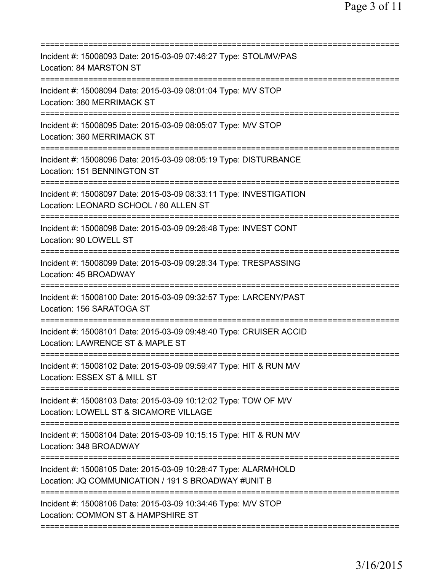| Incident #: 15008093 Date: 2015-03-09 07:46:27 Type: STOL/MV/PAS<br>Location: 84 MARSTON ST                                                 |
|---------------------------------------------------------------------------------------------------------------------------------------------|
| Incident #: 15008094 Date: 2015-03-09 08:01:04 Type: M/V STOP<br>Location: 360 MERRIMACK ST<br>======================<br>------------------ |
| Incident #: 15008095 Date: 2015-03-09 08:05:07 Type: M/V STOP<br>Location: 360 MERRIMACK ST                                                 |
| Incident #: 15008096 Date: 2015-03-09 08:05:19 Type: DISTURBANCE<br>Location: 151 BENNINGTON ST                                             |
| Incident #: 15008097 Date: 2015-03-09 08:33:11 Type: INVESTIGATION<br>Location: LEONARD SCHOOL / 60 ALLEN ST                                |
| ========================<br>Incident #: 15008098 Date: 2015-03-09 09:26:48 Type: INVEST CONT<br>Location: 90 LOWELL ST                      |
| Incident #: 15008099 Date: 2015-03-09 09:28:34 Type: TRESPASSING<br>Location: 45 BROADWAY                                                   |
| Incident #: 15008100 Date: 2015-03-09 09:32:57 Type: LARCENY/PAST<br>Location: 156 SARATOGA ST                                              |
| Incident #: 15008101 Date: 2015-03-09 09:48:40 Type: CRUISER ACCID<br>Location: LAWRENCE ST & MAPLE ST                                      |
| Incident #: 15008102 Date: 2015-03-09 09:59:47 Type: HIT & RUN M/V<br>Location: ESSEX ST & MILL ST<br>.------------------------             |
| Incident #: 15008103 Date: 2015-03-09 10:12:02 Type: TOW OF M/V<br>Location: LOWELL ST & SICAMORE VILLAGE                                   |
| Incident #: 15008104 Date: 2015-03-09 10:15:15 Type: HIT & RUN M/V<br>Location: 348 BROADWAY                                                |
| Incident #: 15008105 Date: 2015-03-09 10:28:47 Type: ALARM/HOLD<br>Location: JQ COMMUNICATION / 191 S BROADWAY #UNIT B                      |
| Incident #: 15008106 Date: 2015-03-09 10:34:46 Type: M/V STOP<br>Location: COMMON ST & HAMPSHIRE ST                                         |
|                                                                                                                                             |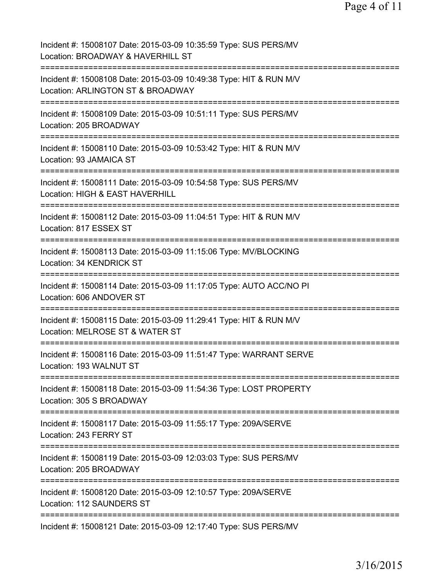| Incident #: 15008107 Date: 2015-03-09 10:35:59 Type: SUS PERS/MV<br>Location: BROADWAY & HAVERHILL ST                                   |
|-----------------------------------------------------------------------------------------------------------------------------------------|
| Incident #: 15008108 Date: 2015-03-09 10:49:38 Type: HIT & RUN M/V<br>Location: ARLINGTON ST & BROADWAY                                 |
| Incident #: 15008109 Date: 2015-03-09 10:51:11 Type: SUS PERS/MV<br>Location: 205 BROADWAY                                              |
| Incident #: 15008110 Date: 2015-03-09 10:53:42 Type: HIT & RUN M/V<br>Location: 93 JAMAICA ST                                           |
| Incident #: 15008111 Date: 2015-03-09 10:54:58 Type: SUS PERS/MV<br>Location: HIGH & EAST HAVERHILL                                     |
| Incident #: 15008112 Date: 2015-03-09 11:04:51 Type: HIT & RUN M/V<br>Location: 817 ESSEX ST                                            |
| Incident #: 15008113 Date: 2015-03-09 11:15:06 Type: MV/BLOCKING<br>Location: 34 KENDRICK ST                                            |
| Incident #: 15008114 Date: 2015-03-09 11:17:05 Type: AUTO ACC/NO PI<br>Location: 606 ANDOVER ST<br>==================================== |
| Incident #: 15008115 Date: 2015-03-09 11:29:41 Type: HIT & RUN M/V<br>Location: MELROSE ST & WATER ST                                   |
| Incident #: 15008116 Date: 2015-03-09 11:51:47 Type: WARRANT SERVE<br>Location: 193 WALNUT ST                                           |
| Incident #: 15008118 Date: 2015-03-09 11:54:36 Type: LOST PROPERTY<br>Location: 305 S BROADWAY                                          |
| Incident #: 15008117 Date: 2015-03-09 11:55:17 Type: 209A/SERVE<br>Location: 243 FERRY ST                                               |
| ==================================<br>Incident #: 15008119 Date: 2015-03-09 12:03:03 Type: SUS PERS/MV<br>Location: 205 BROADWAY        |
| Incident #: 15008120 Date: 2015-03-09 12:10:57 Type: 209A/SERVE<br>Location: 112 SAUNDERS ST                                            |
| Incident #: 15008121 Date: 2015-03-09 12:17:40 Type: SUS PERS/MV                                                                        |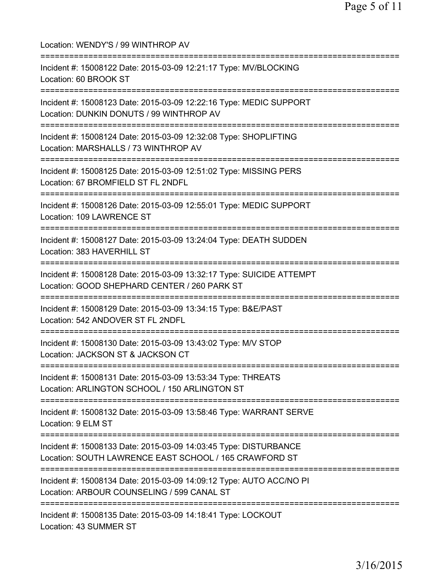| Location: WENDY'S / 99 WINTHROP AV                                                                                                              |
|-------------------------------------------------------------------------------------------------------------------------------------------------|
| Incident #: 15008122 Date: 2015-03-09 12:21:17 Type: MV/BLOCKING<br>Location: 60 BROOK ST                                                       |
| Incident #: 15008123 Date: 2015-03-09 12:22:16 Type: MEDIC SUPPORT<br>Location: DUNKIN DONUTS / 99 WINTHROP AV                                  |
| Incident #: 15008124 Date: 2015-03-09 12:32:08 Type: SHOPLIFTING<br>Location: MARSHALLS / 73 WINTHROP AV<br>=================================== |
| Incident #: 15008125 Date: 2015-03-09 12:51:02 Type: MISSING PERS<br>Location: 67 BROMFIELD ST FL 2NDFL                                         |
| ==============================<br>Incident #: 15008126 Date: 2015-03-09 12:55:01 Type: MEDIC SUPPORT<br>Location: 109 LAWRENCE ST               |
| Incident #: 15008127 Date: 2015-03-09 13:24:04 Type: DEATH SUDDEN<br>Location: 383 HAVERHILL ST                                                 |
| Incident #: 15008128 Date: 2015-03-09 13:32:17 Type: SUICIDE ATTEMPT<br>Location: GOOD SHEPHARD CENTER / 260 PARK ST                            |
| Incident #: 15008129 Date: 2015-03-09 13:34:15 Type: B&E/PAST<br>Location: 542 ANDOVER ST FL 2NDFL                                              |
| Incident #: 15008130 Date: 2015-03-09 13:43:02 Type: M/V STOP<br>Location: JACKSON ST & JACKSON CT                                              |
| Incident #: 15008131 Date: 2015-03-09 13:53:34 Type: THREATS<br>Location: ARLINGTON SCHOOL / 150 ARLINGTON ST                                   |
| Incident #: 15008132 Date: 2015-03-09 13:58:46 Type: WARRANT SERVE<br>Location: 9 ELM ST                                                        |
| Incident #: 15008133 Date: 2015-03-09 14:03:45 Type: DISTURBANCE<br>Location: SOUTH LAWRENCE EAST SCHOOL / 165 CRAWFORD ST                      |
| Incident #: 15008134 Date: 2015-03-09 14:09:12 Type: AUTO ACC/NO PI<br>Location: ARBOUR COUNSELING / 599 CANAL ST                               |
| Incident #: 15008135 Date: 2015-03-09 14:18:41 Type: LOCKOUT<br>Location: 43 SUMMER ST                                                          |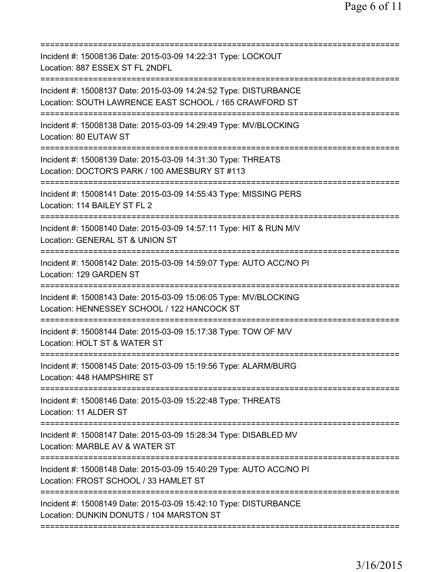| Incident #: 15008136 Date: 2015-03-09 14:22:31 Type: LOCKOUT<br>Location: 887 ESSEX ST FL 2NDFL                                                      |
|------------------------------------------------------------------------------------------------------------------------------------------------------|
| Incident #: 15008137 Date: 2015-03-09 14:24:52 Type: DISTURBANCE<br>Location: SOUTH LAWRENCE EAST SCHOOL / 165 CRAWFORD ST                           |
| Incident #: 15008138 Date: 2015-03-09 14:29:49 Type: MV/BLOCKING<br>Location: 80 EUTAW ST                                                            |
| Incident #: 15008139 Date: 2015-03-09 14:31:30 Type: THREATS<br>Location: DOCTOR'S PARK / 100 AMESBURY ST #113<br>=============================      |
| Incident #: 15008141 Date: 2015-03-09 14:55:43 Type: MISSING PERS<br>Location: 114 BAILEY ST FL 2                                                    |
| Incident #: 15008140 Date: 2015-03-09 14:57:11 Type: HIT & RUN M/V<br>Location: GENERAL ST & UNION ST<br>=============================               |
| Incident #: 15008142 Date: 2015-03-09 14:59:07 Type: AUTO ACC/NO PI<br>Location: 129 GARDEN ST                                                       |
| Incident #: 15008143 Date: 2015-03-09 15:06:05 Type: MV/BLOCKING<br>Location: HENNESSEY SCHOOL / 122 HANCOCK ST<br>==========================        |
| Incident #: 15008144 Date: 2015-03-09 15:17:38 Type: TOW OF M/V<br>Location: HOLT ST & WATER ST                                                      |
| Incident #: 15008145 Date: 2015-03-09 15:19:56 Type: ALARM/BURG<br>Location: 448 HAMPSHIRE ST                                                        |
| Incident #: 15008146 Date: 2015-03-09 15:22:48 Type: THREATS<br>Location: 11 ALDER ST                                                                |
| Incident #: 15008147 Date: 2015-03-09 15:28:34 Type: DISABLED MV<br>Location: MARBLE AV & WATER ST                                                   |
| Incident #: 15008148 Date: 2015-03-09 15:40:29 Type: AUTO ACC/NO PI<br>Location: FROST SCHOOL / 33 HAMLET ST<br>==================================== |
| Incident #: 15008149 Date: 2015-03-09 15:42:10 Type: DISTURBANCE<br>Location: DUNKIN DONUTS / 104 MARSTON ST                                         |
|                                                                                                                                                      |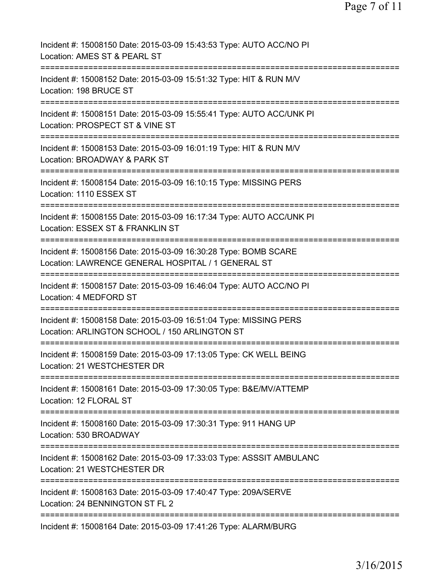Page 7 of 11

| Incident #: 15008150 Date: 2015-03-09 15:43:53 Type: AUTO ACC/NO PI<br>Location: AMES ST & PEARL ST                       |
|---------------------------------------------------------------------------------------------------------------------------|
| Incident #: 15008152 Date: 2015-03-09 15:51:32 Type: HIT & RUN M/V<br>Location: 198 BRUCE ST                              |
| Incident #: 15008151 Date: 2015-03-09 15:55:41 Type: AUTO ACC/UNK PI<br>Location: PROSPECT ST & VINE ST                   |
| Incident #: 15008153 Date: 2015-03-09 16:01:19 Type: HIT & RUN M/V<br>Location: BROADWAY & PARK ST                        |
| =======================<br>Incident #: 15008154 Date: 2015-03-09 16:10:15 Type: MISSING PERS<br>Location: 1110 ESSEX ST   |
| Incident #: 15008155 Date: 2015-03-09 16:17:34 Type: AUTO ACC/UNK PI<br>Location: ESSEX ST & FRANKLIN ST                  |
| Incident #: 15008156 Date: 2015-03-09 16:30:28 Type: BOMB SCARE<br>Location: LAWRENCE GENERAL HOSPITAL / 1 GENERAL ST     |
| Incident #: 15008157 Date: 2015-03-09 16:46:04 Type: AUTO ACC/NO PI<br>Location: 4 MEDFORD ST                             |
| Incident #: 15008158 Date: 2015-03-09 16:51:04 Type: MISSING PERS<br>Location: ARLINGTON SCHOOL / 150 ARLINGTON ST        |
| Incident #: 15008159 Date: 2015-03-09 17:13:05 Type: CK WELL BEING<br>Location: 21 WESTCHESTER DR                         |
| =========================<br>Incident #: 15008161 Date: 2015-03-09 17:30:05 Type: B&E/MV/ATTEMP<br>Location: 12 FLORAL ST |
| Incident #: 15008160 Date: 2015-03-09 17:30:31 Type: 911 HANG UP<br>Location: 530 BROADWAY                                |
| Incident #: 15008162 Date: 2015-03-09 17:33:03 Type: ASSSIT AMBULANC<br>Location: 21 WESTCHESTER DR                       |
| Incident #: 15008163 Date: 2015-03-09 17:40:47 Type: 209A/SERVE<br>Location: 24 BENNINGTON ST FL 2                        |
| =========================<br>Incident #: 15008164 Date: 2015-03-09 17:41:26 Type: ALARM/BURG                              |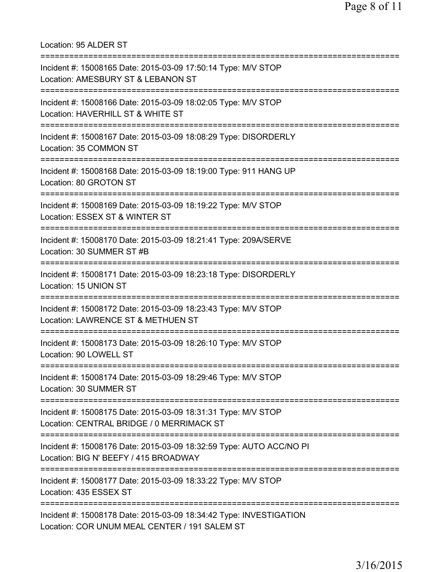Location: 95 ALDER ST =========================================================================== Incident #: 15008165 Date: 2015-03-09 17:50:14 Type: M/V STOP Location: AMESBURY ST & LEBANON ST =========================================================================== Incident #: 15008166 Date: 2015-03-09 18:02:05 Type: M/V STOP Location: HAVERHILL ST & WHITE ST =========================================================================== Incident #: 15008167 Date: 2015-03-09 18:08:29 Type: DISORDERLY Location: 35 COMMON ST =========================================================================== Incident #: 15008168 Date: 2015-03-09 18:19:00 Type: 911 HANG UP Location: 80 GROTON ST =========================================================================== Incident #: 15008169 Date: 2015-03-09 18:19:22 Type: M/V STOP Location: ESSEX ST & WINTER ST =========================================================================== Incident #: 15008170 Date: 2015-03-09 18:21:41 Type: 209A/SERVE Location: 30 SUMMER ST #B =========================================================================== Incident #: 15008171 Date: 2015-03-09 18:23:18 Type: DISORDERLY Location: 15 UNION ST =========================================================================== Incident #: 15008172 Date: 2015-03-09 18:23:43 Type: M/V STOP Location: LAWRENCE ST & METHUEN ST =========================================================================== Incident #: 15008173 Date: 2015-03-09 18:26:10 Type: M/V STOP Location: 90 LOWELL ST =========================================================================== Incident #: 15008174 Date: 2015-03-09 18:29:46 Type: M/V STOP Location: 30 SUMMER ST =========================================================================== Incident #: 15008175 Date: 2015-03-09 18:31:31 Type: M/V STOP Location: CENTRAL BRIDGE / 0 MERRIMACK ST =========================================================================== Incident #: 15008176 Date: 2015-03-09 18:32:59 Type: AUTO ACC/NO PI Location: BIG N' BEEFY / 415 BROADWAY =========================================================================== Incident #: 15008177 Date: 2015-03-09 18:33:22 Type: M/V STOP Location: 435 ESSEX ST =========================================================================== Incident #: 15008178 Date: 2015-03-09 18:34:42 Type: INVESTIGATION Location: COR UNUM MEAL CENTER / 191 SALEM ST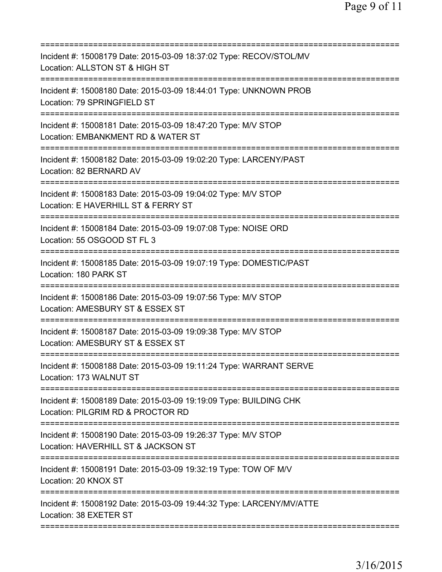| Incident #: 15008179 Date: 2015-03-09 18:37:02 Type: RECOV/STOL/MV<br>Location: ALLSTON ST & HIGH ST     |
|----------------------------------------------------------------------------------------------------------|
| Incident #: 15008180 Date: 2015-03-09 18:44:01 Type: UNKNOWN PROB<br>Location: 79 SPRINGFIELD ST         |
| Incident #: 15008181 Date: 2015-03-09 18:47:20 Type: M/V STOP<br>Location: EMBANKMENT RD & WATER ST      |
| Incident #: 15008182 Date: 2015-03-09 19:02:20 Type: LARCENY/PAST<br>Location: 82 BERNARD AV             |
| Incident #: 15008183 Date: 2015-03-09 19:04:02 Type: M/V STOP<br>Location: E HAVERHILL ST & FERRY ST     |
| Incident #: 15008184 Date: 2015-03-09 19:07:08 Type: NOISE ORD<br>Location: 55 OSGOOD ST FL 3            |
| =========<br>Incident #: 15008185 Date: 2015-03-09 19:07:19 Type: DOMESTIC/PAST<br>Location: 180 PARK ST |
| Incident #: 15008186 Date: 2015-03-09 19:07:56 Type: M/V STOP<br>Location: AMESBURY ST & ESSEX ST        |
| Incident #: 15008187 Date: 2015-03-09 19:09:38 Type: M/V STOP<br>Location: AMESBURY ST & ESSEX ST        |
| Incident #: 15008188 Date: 2015-03-09 19:11:24 Type: WARRANT SERVE<br>Location: 173 WALNUT ST            |
| Incident #: 15008189 Date: 2015-03-09 19:19:09 Type: BUILDING CHK<br>Location: PILGRIM RD & PROCTOR RD   |
| Incident #: 15008190 Date: 2015-03-09 19:26:37 Type: M/V STOP<br>Location: HAVERHILL ST & JACKSON ST     |
| Incident #: 15008191 Date: 2015-03-09 19:32:19 Type: TOW OF M/V<br>Location: 20 KNOX ST                  |
| Incident #: 15008192 Date: 2015-03-09 19:44:32 Type: LARCENY/MV/ATTE<br>Location: 38 EXETER ST           |
|                                                                                                          |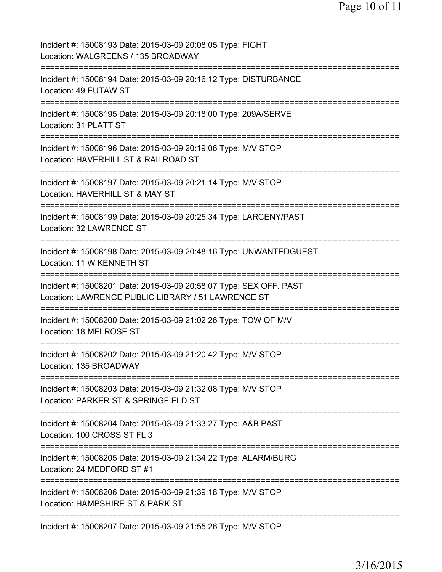| Incident #: 15008193 Date: 2015-03-09 20:08:05 Type: FIGHT<br>Location: WALGREENS / 135 BROADWAY                                  |
|-----------------------------------------------------------------------------------------------------------------------------------|
| Incident #: 15008194 Date: 2015-03-09 20:16:12 Type: DISTURBANCE<br>Location: 49 EUTAW ST                                         |
| Incident #: 15008195 Date: 2015-03-09 20:18:00 Type: 209A/SERVE<br>Location: 31 PLATT ST<br>--------------------------            |
| Incident #: 15008196 Date: 2015-03-09 20:19:06 Type: M/V STOP<br>Location: HAVERHILL ST & RAILROAD ST<br>:==========              |
| Incident #: 15008197 Date: 2015-03-09 20:21:14 Type: M/V STOP<br>Location: HAVERHILL ST & MAY ST<br>==================            |
| Incident #: 15008199 Date: 2015-03-09 20:25:34 Type: LARCENY/PAST<br>Location: 32 LAWRENCE ST                                     |
| Incident #: 15008198 Date: 2015-03-09 20:48:16 Type: UNWANTEDGUEST<br>Location: 11 W KENNETH ST<br>============================== |
| Incident #: 15008201 Date: 2015-03-09 20:58:07 Type: SEX OFF. PAST<br>Location: LAWRENCE PUBLIC LIBRARY / 51 LAWRENCE ST          |
| Incident #: 15008200 Date: 2015-03-09 21:02:26 Type: TOW OF M/V<br>Location: 18 MELROSE ST                                        |
| Incident #: 15008202 Date: 2015-03-09 21:20:42 Type: M/V STOP<br>Location: 135 BROADWAY                                           |
| Incident #: 15008203 Date: 2015-03-09 21:32:08 Type: M/V STOP<br>Location: PARKER ST & SPRINGFIELD ST                             |
| Incident #: 15008204 Date: 2015-03-09 21:33:27 Type: A&B PAST<br>Location: 100 CROSS ST FL 3                                      |
| Incident #: 15008205 Date: 2015-03-09 21:34:22 Type: ALARM/BURG<br>Location: 24 MEDFORD ST #1                                     |
| Incident #: 15008206 Date: 2015-03-09 21:39:18 Type: M/V STOP<br>Location: HAMPSHIRE ST & PARK ST                                 |
| Incident #: 15008207 Date: 2015-03-09 21:55:26 Type: M/V STOP                                                                     |